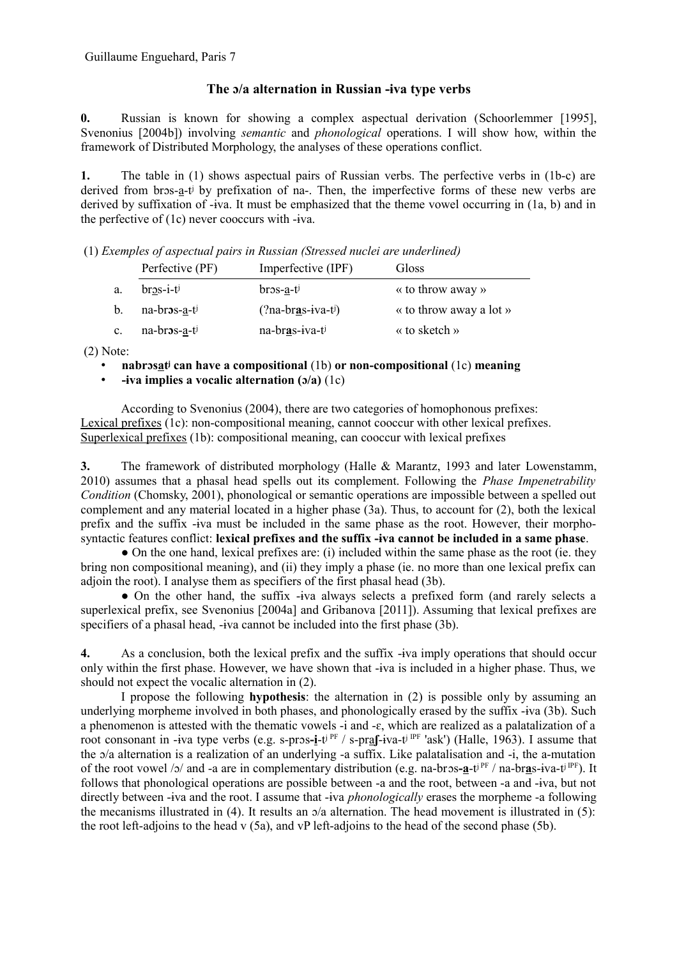## **The ɔ/a alternation in Russian -ɨva type verbs**

**0.** Russian is known for showing a complex aspectual derivation (Schoorlemmer [1995], Svenonius [2004b]) involving *semantic* and *phonological* operations. I will show how, within the framework of Distributed Morphology, the analyses of these operations conflict.

**1.** The table in (1) shows aspectual pairs of Russian verbs. The perfective verbs in (1b-c) are derived from bros-a-t<sup>j</sup> by prefixation of na-. Then, the imperfective forms of these new verbs are derived by suffixation of -ɨva. It must be emphasized that the theme vowel occurring in (1a, b) and in the perfective of (1c) never cooccurs with -ɨva.

(1) *Exemples of aspectual pairs in Russian (Stressed nuclei are underlined)*

|                | Perfective (PF)                   | Imperfective (IPF) | Gloss                                 |
|----------------|-----------------------------------|--------------------|---------------------------------------|
| a.             | $br_{2s-i-t}$                     | $bros-a-t$         | « to throw away »                     |
| b.             | na-bros-a-ti                      | $(?na-bras-iva-t)$ | $\kappa$ to throw away a lot $\kappa$ |
| $\mathbf{c}$ . | na-bros- <u>a</u> -t <sup>j</sup> | na-bras-iva-ti     | « to sketch »                         |

(2) Note:

- **nabrɔsatʲ can have a compositional** (1b) **or non-compositional** (1c) **meaning**
- **-ɨva implies a vocalic alternation (ɔ/a)** (1c)

According to Svenonius (2004), there are two categories of homophonous prefixes: Lexical prefixes (1c): non-compositional meaning, cannot cooccur with other lexical prefixes. Superlexical prefixes (1b): compositional meaning, can cooccur with lexical prefixes

**3.** The framework of distributed morphology (Halle & Marantz, 1993 and later Lowenstamm, 2010) assumes that a phasal head spells out its complement. Following the *Phase Impenetrability Condition* (Chomsky, 2001), phonological or semantic operations are impossible between a spelled out complement and any material located in a higher phase (3a). Thus, to account for (2), both the lexical prefix and the suffix -ɨva must be included in the same phase as the root. However, their morphosyntactic features conflict: **lexical prefixes and the suffix -ɨva cannot be included in a same phase**.

• On the one hand, lexical prefixes are: (i) included within the same phase as the root (ie. they bring non compositional meaning), and (ii) they imply a phase (ie. no more than one lexical prefix can adjoin the root). I analyse them as specifiers of the first phasal head (3b).

• On the other hand, the suffix -iva always selects a prefixed form (and rarely selects a superlexical prefix, see Svenonius [2004a] and Gribanova [2011]). Assuming that lexical prefixes are specifiers of a phasal head, -iva cannot be included into the first phase (3b).

**4.** As a conclusion, both the lexical prefix and the suffix -ɨva imply operations that should occur only within the first phase. However, we have shown that -ɨva is included in a higher phase. Thus, we should not expect the vocalic alternation in (2).

I propose the following **hypothesis**: the alternation in (2) is possible only by assuming an underlying morpheme involved in both phases, and phonologically erased by the suffix -ɨva (3b). Such a phenomenon is attested with the thematic vowels -i and -ɛ, which are realized as a palatalization of a root consonant in -ɨva type verbs (e.g. s-prɔs**-i**-tʲ PF / s-pra**ʃ**-ɨva-tʲ IPF 'ask') (Halle, 1963). I assume that the ɔ/a alternation is a realization of an underlying -a suffix. Like palatalisation and -i, the a-mutation of the root vowel /ɔ/ and -a are in complementary distribution (e.g. na-brɔs**-a**-tʲ PF / na-br**a**s-ɨva-tʲ IPF). It follows that phonological operations are possible between -a and the root, between -a and -ɨva, but not directly between -ɨva and the root. I assume that -ɨva *phonologically* erases the morpheme -a following the mecanisms illustrated in (4). It results an  $\sigma/a$  alternation. The head movement is illustrated in (5): the root left-adjoins to the head v  $(5a)$ , and vP left-adjoins to the head of the second phase (5b).